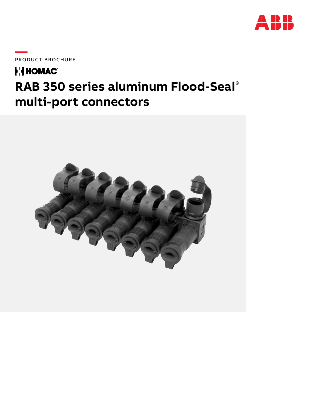

PRODUCT BROCHURE

### **FI HOMAC RAB 350 series aluminum Flood-Seal**® **multi-port connectors**

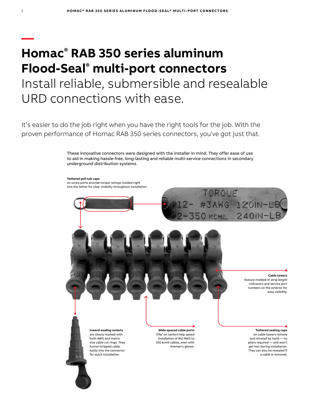# **Homac® RAB 350 series aluminum Flood-Seal® multi-port connectors** Install reliable, submersible and resealable URD connections with ease.

It's easier to do the job right when you have the right tools for the job. With the proven performance of Homac RAB 350 series connectors, you've got just that.

> These innovative connectors were designed with the installer in mind. They offer ease of use to aid in making hassle-free, long-lasting and reliable multi-service connections in secondary underground distribution systems.

**Tethered pull-tab caps** on screw ports provide torque ratings molded right into the tether for clear visibility throughout installation.



**—**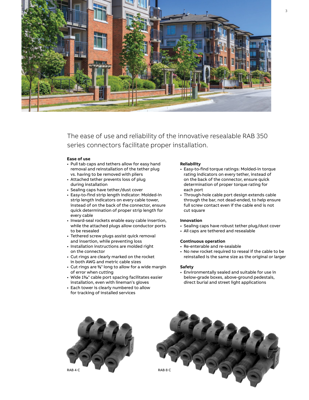

The ease of use and reliability of the innovative resealable RAB 350 series connectors facilitate proper installation.

### **Ease of use**

- Pull tab caps and tethers allow for easy hand removal and reinstallation of the tether plug vs. having to be removed with pliers
- Attached tether prevents loss of plug during installation
- Sealing caps have tether/dust cover
- Easy-to-find strip length indicator: Molded-in strip length indicators on every cable tower, instead of on the back of the connector, ensure quick determination of proper strip length for every cable
- Inward-seal rockets enable easy cable insertion, while the attached plugs allow conductor ports to be resealed
- Tethered screw plugs assist quick removal and insertion, while preventing loss
- Installation instructions are molded right on the connector
- Cut rings are clearly marked on the rocket in both AWG and metric cable sizes
- Cut rings are 3 ⁄8" long to allow for a wide margin of error when cutting
- Wide 11% cable port spacing facilitates easier installation, even with lineman's gloves
- Each tower is clearly numbered to allow for tracking of installed services

#### **Reliability**

- Easy-to-find torque ratings: Molded-in torque rating indicators on every tether, instead of on the back of the connector, ensure quick determination of proper torque rating for each port
- Through-hole cable port design extends cable through the bar, not dead-ended, to help ensure full screw contact even if the cable end is not cut square

#### **Innovation**

- Sealing caps have robust tether plug/dust cover
- All caps are tethered and resealable

### **Continuous operation**

- Re-enterable and re-sealable
- No new rocket required to reseal if the cable to be reinstalled is the same size as the original or larger

#### **Safety**

• Environmentally sealed and suitable for use in below-grade boxes, above-ground pedestals, direct burial and street light applications